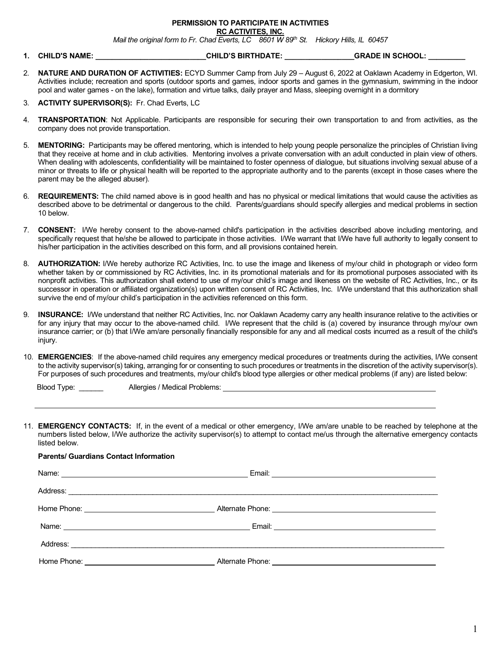### **PERMISSION TO PARTICIPATE IN ACTIVITIES**

**RC ACTIVITES, INC.**

*Mail the original form to Fr. Chad Everts, LC 8601 W 89th St. Hickory Hills, IL 60457*

- **1. CHILD'S NAME: \_\_\_\_\_\_\_\_\_\_\_\_\_\_\_\_\_\_\_\_\_\_\_\_\_\_\_CHILD'S BIRTHDATE: \_\_\_\_\_\_\_\_\_\_\_\_\_\_\_\_\_GRADE IN SCHOOL: \_\_\_\_\_\_\_\_\_**
- 2. **NATURE AND DURATION OF ACTIVITIES:** ECYD Summer Camp from July 29 August 6, 2022 at Oaklawn Academy in Edgerton, WI. Activities include; recreation and sports (outdoor sports and games, indoor sports and games in the gymnasium, swimming in the indoor pool and water games - on the lake), formation and virtue talks, daily prayer and Mass, sleeping overnight in a dormitory
- 3. **ACTIVITY SUPERVISOR(S):** Fr. Chad Everts, LC
- 4. **TRANSPORTATION**: Not Applicable. Participants are responsible for securing their own transportation to and from activities, as the company does not provide transportation.
- 5. **MENTORING:** Participants may be offered mentoring, which is intended to help young people personalize the principles of Christian living that they receive at home and in club activities. Mentoring involves a private conversation with an adult conducted in plain view of others. When dealing with adolescents, confidentiality will be maintained to foster openness of dialogue, but situations involving sexual abuse of a minor or threats to life or physical health will be reported to the appropriate authority and to the parents (except in those cases where the parent may be the alleged abuser).
- 6. **REQUIREMENTS:** The child named above is in good health and has no physical or medical limitations that would cause the activities as described above to be detrimental or dangerous to the child. Parents/guardians should specify allergies and medical problems in section 10 below.
- 7. **CONSENT:** I/We hereby consent to the above-named child's participation in the activities described above including mentoring, and specifically request that he/she be allowed to participate in those activities. I/We warrant that I/We have full authority to legally consent to his/her participation in the activities described on this form, and all provisions contained herein.
- 8. **AUTHORIZATION:** I/We hereby authorize RC Activities, Inc. to use the image and likeness of my/our child in photograph or video form whether taken by or commissioned by RC Activities, Inc. in its promotional materials and for its promotional purposes associated with its nonprofit activities. This authorization shall extend to use of my/our child's image and likeness on the website of RC Activities, Inc., or its successor in operation or affiliated organization(s) upon written consent of RC Activities, Inc. I/We understand that this authorization shall survive the end of my/our child's participation in the activities referenced on this form.
- 9. **INSURANCE:** I/We understand that neither RC Activities, Inc. nor Oaklawn Academy carry any health insurance relative to the activities or for any injury that may occur to the above-named child. I/We represent that the child is (a) covered by insurance through my/our own insurance carrier; or (b) that I/We am/are personally financially responsible for any and all medical costs incurred as a result of the child's injury.
- 10. **EMERGENCIES**: If the above-named child requires any emergency medical procedures or treatments during the activities, I/We consent to the activity supervisor(s) taking, arranging for or consenting to such procedures or treatments in the discretion of the activity supervisor(s). For purposes of such procedures and treatments, my/our child's blood type allergies or other medical problems (if any) are listed below:

Blood Type: \_\_\_\_\_\_\_ Allergies / Medical Problems: \_\_

**Parents/ Guardians Contact Information**

 $\overline{a}$ 

11. **EMERGENCY CONTACTS:** If, in the event of a medical or other emergency, I/We am/are unable to be reached by telephone at the numbers listed below, I/We authorize the activity supervisor(s) to attempt to contact me/us through the alternative emergency contacts listed below.

# Name: Email: Address: \_\_\_\_\_\_\_\_\_\_\_\_\_\_\_\_\_\_\_\_\_\_\_\_\_\_\_\_\_\_\_\_\_\_\_\_\_\_\_\_\_\_\_\_\_\_\_\_\_\_\_\_\_\_\_\_\_\_\_\_\_\_\_\_\_\_\_\_\_\_\_\_\_\_\_\_\_\_\_\_\_\_\_\_\_\_\_\_\_\_\_\_ Home Phone: Alternate Phone: Name: Email: Address: \_\_\_\_\_\_\_\_\_\_\_\_\_\_\_\_\_\_\_\_\_\_\_\_\_\_\_\_\_\_\_\_\_\_\_\_\_\_\_\_\_\_\_\_\_\_\_\_\_\_\_\_\_\_\_\_\_\_\_\_\_\_\_\_\_\_\_\_\_\_\_\_\_\_\_\_\_\_\_\_\_\_\_\_\_\_\_\_\_\_\_\_\_ Home Phone: The Contract of the Alternate Phone: Alternate Phone: